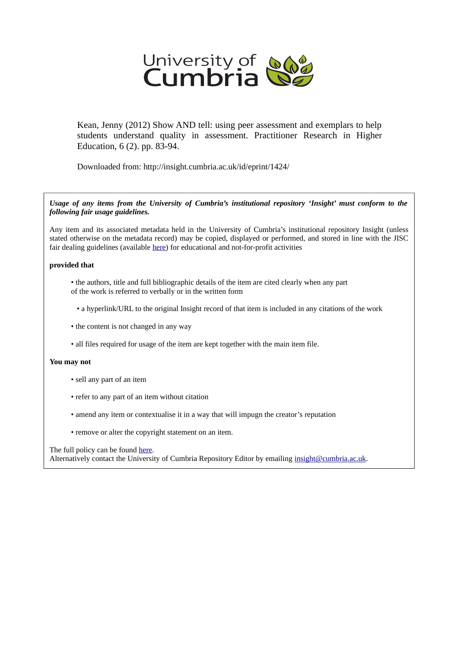

Kean, Jenny (2012) Show AND tell: using peer assessment and exemplars to help students understand quality in assessment. Practitioner Research in Higher Education, 6 (2). pp. 83-94.

Downloaded from: http://insight.cumbria.ac.uk/id/eprint/1424/

*Usage of any items from the University of Cumbria's institutional repository 'Insight' must conform to the following fair usage guidelines.*

Any item and its associated metadata held in the University of Cumbria's institutional repository Insight (unless stated otherwise on the metadata record) may be copied, displayed or performed, and stored in line with the JISC fair dealing guidelines (available [here\)](http://www.ukoln.ac.uk/services/elib/papers/pa/fair/) for educational and not-for-profit activities

#### **provided that**

- the authors, title and full bibliographic details of the item are cited clearly when any part of the work is referred to verbally or in the written form
	- a hyperlink/URL to the original Insight record of that item is included in any citations of the work
- the content is not changed in any way
- all files required for usage of the item are kept together with the main item file.

#### **You may not**

- sell any part of an item
- refer to any part of an item without citation
- amend any item or contextualise it in a way that will impugn the creator's reputation
- remove or alter the copyright statement on an item.

#### The full policy can be found [here.](http://insight.cumbria.ac.uk/legal.html#section5)

Alternatively contact the University of Cumbria Repository Editor by emailing [insight@cumbria.ac.uk.](mailto:insight@cumbria.ac.uk)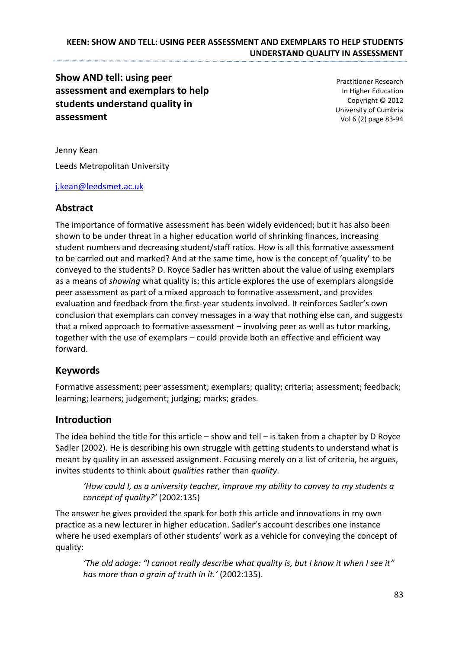**Show AND tell: using peer assessment and exemplars to help students understand quality in assessment**

Practitioner Research In Higher Education Copyright © 2012 University of Cumbria Vol 6 (2) page 83-94

Jenny Kean Leeds Metropolitan University

[j.kean@leedsmet.ac.uk](mailto:j.kean@leedsmet.ac.uk)

# **Abstract**

The importance of formative assessment has been widely evidenced; but it has also been shown to be under threat in a higher education world of shrinking finances, increasing student numbers and decreasing student/staff ratios. How is all this formative assessment to be carried out and marked? And at the same time, how is the concept of 'quality' to be conveyed to the students? D. Royce Sadler has written about the value of using exemplars as a means of *showing* what quality is; this article explores the use of exemplars alongside peer assessment as part of a mixed approach to formative assessment, and provides evaluation and feedback from the first-year students involved. It reinforces Sadler's own conclusion that exemplars can convey messages in a way that nothing else can, and suggests that a mixed approach to formative assessment – involving peer as well as tutor marking, together with the use of exemplars – could provide both an effective and efficient way forward.

# **Keywords**

Formative assessment; peer assessment; exemplars; quality; criteria; assessment; feedback; learning; learners; judgement; judging; marks; grades.

# **Introduction**

The idea behind the title for this article – show and tell – is taken from a chapter by D Royce Sadler (2002). He is describing his own struggle with getting students to understand what is meant by quality in an assessed assignment. Focusing merely on a list of criteria, he argues, invites students to think about *qualities* rather than *quality*.

*'How could I, as a university teacher, improve my ability to convey to my students a concept of quality?'* (2002:135)

The answer he gives provided the spark for both this article and innovations in my own practice as a new lecturer in higher education. Sadler's account describes one instance where he used exemplars of other students' work as a vehicle for conveying the concept of quality:

*'The old adage: "I cannot really describe what quality is, but I know it when I see it" has more than a grain of truth in it.'* (2002:135).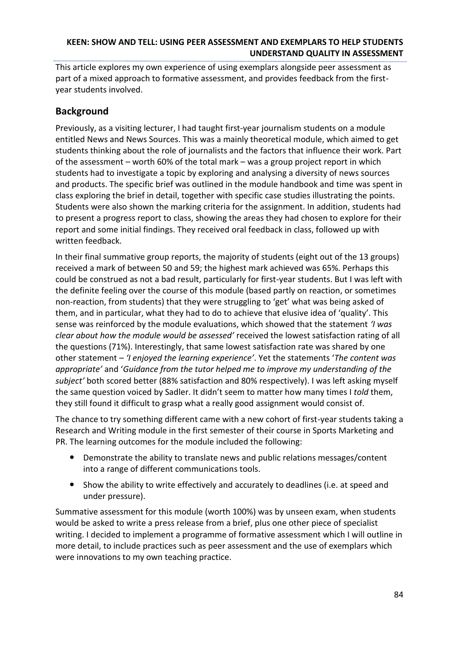This article explores my own experience of using exemplars alongside peer assessment as part of a mixed approach to formative assessment, and provides feedback from the firstyear students involved.

# **Background**

Previously, as a visiting lecturer, I had taught first-year journalism students on a module entitled News and News Sources. This was a mainly theoretical module, which aimed to get students thinking about the role of journalists and the factors that influence their work. Part of the assessment – worth 60% of the total mark – was a group project report in which students had to investigate a topic by exploring and analysing a diversity of news sources and products. The specific brief was outlined in the module handbook and time was spent in class exploring the brief in detail, together with specific case studies illustrating the points. Students were also shown the marking criteria for the assignment. In addition, students had to present a progress report to class, showing the areas they had chosen to explore for their report and some initial findings. They received oral feedback in class, followed up with written feedback.

In their final summative group reports, the majority of students (eight out of the 13 groups) received a mark of between 50 and 59; the highest mark achieved was 65%. Perhaps this could be construed as not a bad result, particularly for first-year students. But I was left with the definite feeling over the course of this module (based partly on reaction, or sometimes non-reaction, from students) that they were struggling to 'get' what was being asked of them, and in particular, what they had to do to achieve that elusive idea of 'quality'. This sense was reinforced by the module evaluations, which showed that the statement *'I was clear about how the module would be assessed'* received the lowest satisfaction rating of all the questions (71%). Interestingly, that same lowest satisfaction rate was shared by one other statement – *'I enjoyed the learning experience'*. Yet the statements '*The content was appropriate'* and '*Guidance from the tutor helped me to improve my understanding of the subject'* both scored better (88% satisfaction and 80% respectively). I was left asking myself the same question voiced by Sadler. It didn't seem to matter how many times I *told* them, they still found it difficult to grasp what a really good assignment would consist of.

The chance to try something different came with a new cohort of first-year students taking a Research and Writing module in the first semester of their course in Sports Marketing and PR. The learning outcomes for the module included the following:

- Demonstrate the ability to translate news and public relations messages/content into a range of different communications tools.
- Show the ability to write effectively and accurately to deadlines (i.e. at speed and under pressure).

Summative assessment for this module (worth 100%) was by unseen exam, when students would be asked to write a press release from a brief, plus one other piece of specialist writing. I decided to implement a programme of formative assessment which I will outline in more detail, to include practices such as peer assessment and the use of exemplars which were innovations to my own teaching practice.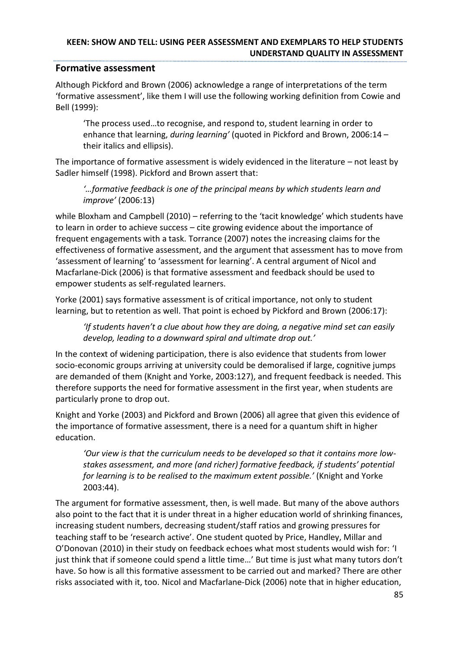#### **Formative assessment**

Although Pickford and Brown (2006) acknowledge a range of interpretations of the term 'formative assessment', like them I will use the following working definition from Cowie and Bell (1999):

'The process used…to recognise, and respond to, student learning in order to enhance that learning, *during learning'* (quoted in Pickford and Brown, 2006:14 – their italics and ellipsis).

The importance of formative assessment is widely evidenced in the literature – not least by Sadler himself (1998). Pickford and Brown assert that:

*'…formative feedback is one of the principal means by which students learn and improve'* (2006:13)

while Bloxham and Campbell (2010) – referring to the 'tacit knowledge' which students have to learn in order to achieve success – cite growing evidence about the importance of frequent engagements with a task. Torrance (2007) notes the increasing claims for the effectiveness of formative assessment, and the argument that assessment has to move from 'assessment of learning' to 'assessment for learning'. A central argument of Nicol and Macfarlane-Dick (2006) is that formative assessment and feedback should be used to empower students as self-regulated learners.

Yorke (2001) says formative assessment is of critical importance, not only to student learning, but to retention as well. That point is echoed by Pickford and Brown (2006:17):

*'If students haven't a clue about how they are doing, a negative mind set can easily develop, leading to a downward spiral and ultimate drop out.'* 

In the context of widening participation, there is also evidence that students from lower socio-economic groups arriving at university could be demoralised if large, cognitive jumps are demanded of them (Knight and Yorke, 2003:127), and frequent feedback is needed. This therefore supports the need for formative assessment in the first year, when students are particularly prone to drop out.

Knight and Yorke (2003) and Pickford and Brown (2006) all agree that given this evidence of the importance of formative assessment, there is a need for a quantum shift in higher education.

*'Our view is that the curriculum needs to be developed so that it contains more lowstakes assessment, and more (and richer) formative feedback, if students' potential for learning is to be realised to the maximum extent possible.'* (Knight and Yorke 2003:44).

The argument for formative assessment, then, is well made. But many of the above authors also point to the fact that it is under threat in a higher education world of shrinking finances, increasing student numbers, decreasing student/staff ratios and growing pressures for teaching staff to be 'research active'. One student quoted by Price, Handley, Millar and O'Donovan (2010) in their study on feedback echoes what most students would wish for: 'I just think that if someone could spend a little time…' But time is just what many tutors don't have. So how is all this formative assessment to be carried out and marked? There are other risks associated with it, too. Nicol and Macfarlane-Dick (2006) note that in higher education,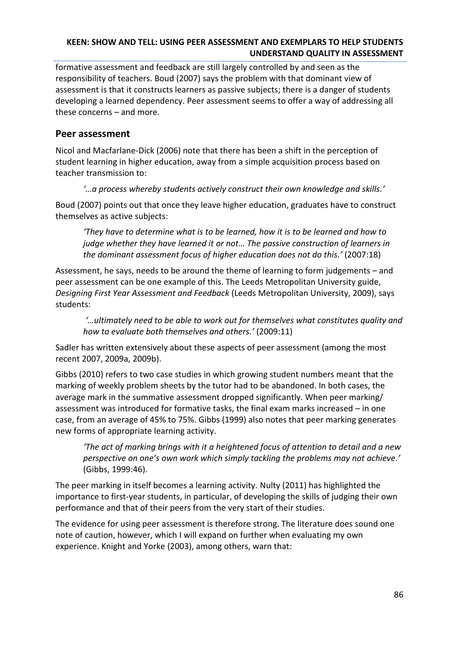formative assessment and feedback are still largely controlled by and seen as the responsibility of teachers. Boud (2007) says the problem with that dominant view of assessment is that it constructs learners as passive subjects; there is a danger of students developing a learned dependency. Peer assessment seems to offer a way of addressing all these concerns – and more.

### **Peer assessment**

Nicol and Macfarlane-Dick (2006) note that there has been a shift in the perception of student learning in higher education, away from a simple acquisition process based on teacher transmission to:

*'…a process whereby students actively construct their own knowledge and skills.'*

Boud (2007) points out that once they leave higher education, graduates have to construct themselves as active subjects:

*'They have to determine what is to be learned, how it is to be learned and how to judge whether they have learned it or not… The passive construction of learners in the dominant assessment focus of higher education does not do this.'* (2007:18)

Assessment, he says, needs to be around the theme of learning to form judgements – and peer assessment can be one example of this. The Leeds Metropolitan University guide, *Designing First Year Assessment and Feedback* (Leeds Metropolitan University, 2009), says students:

*'…ultimately need to be able to work out for themselves what constitutes quality and how to evaluate both themselves and others.'* (2009:11)

Sadler has written extensively about these aspects of peer assessment (among the most recent 2007, 2009a, 2009b).

Gibbs (2010) refers to two case studies in which growing student numbers meant that the marking of weekly problem sheets by the tutor had to be abandoned. In both cases, the average mark in the summative assessment dropped significantly. When peer marking/ assessment was introduced for formative tasks, the final exam marks increased – in one case, from an average of 45% to 75%. Gibbs (1999) also notes that peer marking generates new forms of appropriate learning activity.

*'The act of marking brings with it a heightened focus of attention to detail and a new perspective on one's own work which simply tackling the problems may not achieve.'*  (Gibbs, 1999:46).

The peer marking in itself becomes a learning activity. Nulty (2011) has highlighted the importance to first-year students, in particular, of developing the skills of judging their own performance and that of their peers from the very start of their studies.

The evidence for using peer assessment is therefore strong. The literature does sound one note of caution, however, which I will expand on further when evaluating my own experience. Knight and Yorke (2003), among others, warn that: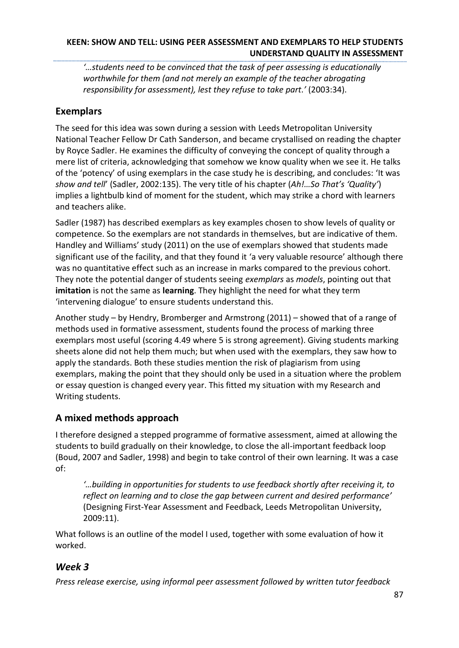*'…students need to be convinced that the task of peer assessing is educationally worthwhile for them (and not merely an example of the teacher abrogating responsibility for assessment), lest they refuse to take part.'* (2003:34).

# **Exemplars**

The seed for this idea was sown during a session with Leeds Metropolitan University National Teacher Fellow Dr Cath Sanderson, and became crystallised on reading the chapter by Royce Sadler. He examines the difficulty of conveying the concept of quality through a mere list of criteria, acknowledging that somehow we know quality when we see it. He talks of the 'potency' of using exemplars in the case study he is describing, and concludes: 'It was *show and tell*' (Sadler, 2002:135). The very title of his chapter (*Ah!…So That's 'Quality'*) implies a lightbulb kind of moment for the student, which may strike a chord with learners and teachers alike.

Sadler (1987) has described exemplars as key examples chosen to show levels of quality or competence. So the exemplars are not standards in themselves, but are indicative of them. Handley and Williams' study (2011) on the use of exemplars showed that students made significant use of the facility, and that they found it 'a very valuable resource' although there was no quantitative effect such as an increase in marks compared to the previous cohort. They note the potential danger of students seeing *exemplars* as *models*, pointing out that **imitation** is not the same as **learning**. They highlight the need for what they term 'intervening dialogue' to ensure students understand this.

Another study – by Hendry, Bromberger and Armstrong (2011) – showed that of a range of methods used in formative assessment, students found the process of marking three exemplars most useful (scoring 4.49 where 5 is strong agreement). Giving students marking sheets alone did not help them much; but when used with the exemplars, they saw how to apply the standards. Both these studies mention the risk of plagiarism from using exemplars, making the point that they should only be used in a situation where the problem or essay question is changed every year. This fitted my situation with my Research and Writing students.

# **A mixed methods approach**

I therefore designed a stepped programme of formative assessment, aimed at allowing the students to build gradually on their knowledge, to close the all-important feedback loop (Boud, 2007 and Sadler, 1998) and begin to take control of their own learning. It was a case of:

*'…building in opportunities for students to use feedback shortly after receiving it, to reflect on learning and to close the gap between current and desired performance'*  (Designing First-Year Assessment and Feedback, Leeds Metropolitan University, 2009:11).

What follows is an outline of the model I used, together with some evaluation of how it worked.

# *Week 3*

*Press release exercise, using informal peer assessment followed by written tutor feedback*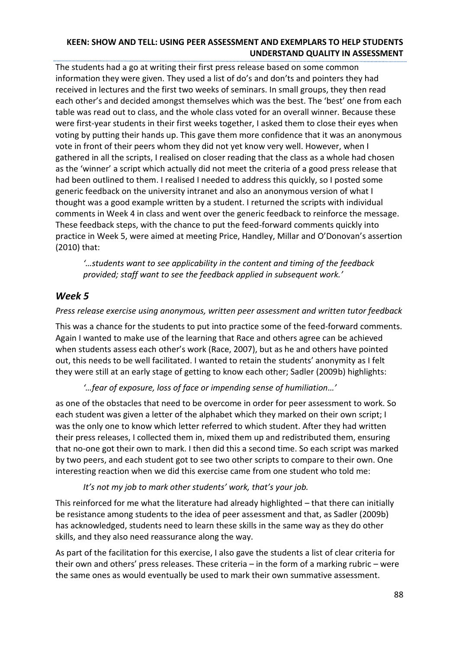The students had a go at writing their first press release based on some common information they were given. They used a list of do's and don'ts and pointers they had received in lectures and the first two weeks of seminars. In small groups, they then read each other's and decided amongst themselves which was the best. The 'best' one from each table was read out to class, and the whole class voted for an overall winner. Because these were first-year students in their first weeks together, I asked them to close their eyes when voting by putting their hands up. This gave them more confidence that it was an anonymous vote in front of their peers whom they did not yet know very well. However, when I gathered in all the scripts, I realised on closer reading that the class as a whole had chosen as the 'winner' a script which actually did not meet the criteria of a good press release that had been outlined to them. I realised I needed to address this quickly, so I posted some generic feedback on the university intranet and also an anonymous version of what I thought was a good example written by a student. I returned the scripts with individual comments in Week 4 in class and went over the generic feedback to reinforce the message. These feedback steps, with the chance to put the feed-forward comments quickly into practice in Week 5, were aimed at meeting Price, Handley, Millar and O'Donovan's assertion (2010) that:

*'…students want to see applicability in the content and timing of the feedback provided; staff want to see the feedback applied in subsequent work.'*

### *Week 5*

*Press release exercise using anonymous, written peer assessment and written tutor feedback*

This was a chance for the students to put into practice some of the feed-forward comments. Again I wanted to make use of the learning that Race and others agree can be achieved when students assess each other's work (Race, 2007), but as he and others have pointed out, this needs to be well facilitated. I wanted to retain the students' anonymity as I felt they were still at an early stage of getting to know each other; Sadler (2009b) highlights:

*'…fear of exposure, loss of face or impending sense of humiliation…'* 

as one of the obstacles that need to be overcome in order for peer assessment to work. So each student was given a letter of the alphabet which they marked on their own script; I was the only one to know which letter referred to which student. After they had written their press releases, I collected them in, mixed them up and redistributed them, ensuring that no-one got their own to mark. I then did this a second time. So each script was marked by two peers, and each student got to see two other scripts to compare to their own. One interesting reaction when we did this exercise came from one student who told me:

#### *It's not my job to mark other students' work, that's your job.*

This reinforced for me what the literature had already highlighted – that there can initially be resistance among students to the idea of peer assessment and that, as Sadler (2009b) has acknowledged, students need to learn these skills in the same way as they do other skills, and they also need reassurance along the way.

As part of the facilitation for this exercise, I also gave the students a list of clear criteria for their own and others' press releases. These criteria – in the form of a marking rubric – were the same ones as would eventually be used to mark their own summative assessment.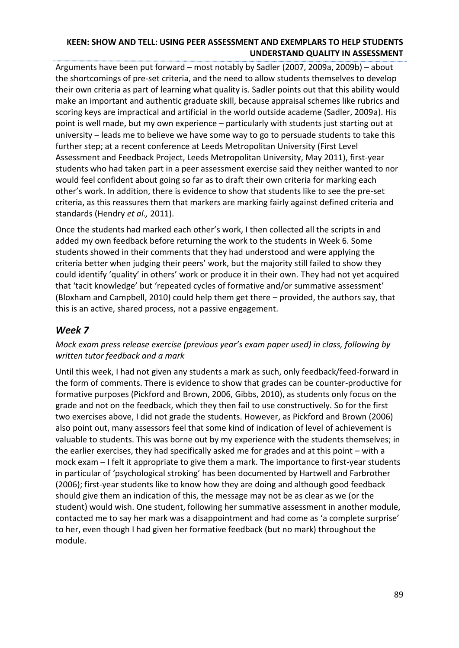Arguments have been put forward – most notably by Sadler (2007, 2009a, 2009b) – about the shortcomings of pre-set criteria, and the need to allow students themselves to develop their own criteria as part of learning what quality is. Sadler points out that this ability would make an important and authentic graduate skill, because appraisal schemes like rubrics and scoring keys are impractical and artificial in the world outside academe (Sadler, 2009a). His point is well made, but my own experience – particularly with students just starting out at university – leads me to believe we have some way to go to persuade students to take this further step; at a recent conference at Leeds Metropolitan University (First Level Assessment and Feedback Project, Leeds Metropolitan University, May 2011), first-year students who had taken part in a peer assessment exercise said they neither wanted to nor would feel confident about going so far as to draft their own criteria for marking each other's work. In addition, there is evidence to show that students like to see the pre-set criteria, as this reassures them that markers are marking fairly against defined criteria and standards (Hendry *et al.,* 2011).

Once the students had marked each other's work, I then collected all the scripts in and added my own feedback before returning the work to the students in Week 6. Some students showed in their comments that they had understood and were applying the criteria better when judging their peers' work, but the majority still failed to show they could identify 'quality' in others' work or produce it in their own. They had not yet acquired that 'tacit knowledge' but 'repeated cycles of formative and/or summative assessment' (Bloxham and Campbell, 2010) could help them get there – provided, the authors say, that this is an active, shared process, not a passive engagement.

# *Week 7*

### *Mock exam press release exercise (previous year's exam paper used) in class, following by written tutor feedback and a mark*

Until this week, I had not given any students a mark as such, only feedback/feed-forward in the form of comments. There is evidence to show that grades can be counter-productive for formative purposes (Pickford and Brown, 2006, Gibbs, 2010), as students only focus on the grade and not on the feedback, which they then fail to use constructively. So for the first two exercises above, I did not grade the students. However, as Pickford and Brown (2006) also point out, many assessors feel that some kind of indication of level of achievement is valuable to students. This was borne out by my experience with the students themselves; in the earlier exercises, they had specifically asked me for grades and at this point – with a mock exam – I felt it appropriate to give them a mark. The importance to first-year students in particular of 'psychological stroking' has been documented by Hartwell and Farbrother (2006); first-year students like to know how they are doing and although good feedback should give them an indication of this, the message may not be as clear as we (or the student) would wish. One student, following her summative assessment in another module, contacted me to say her mark was a disappointment and had come as 'a complete surprise' to her, even though I had given her formative feedback (but no mark) throughout the module.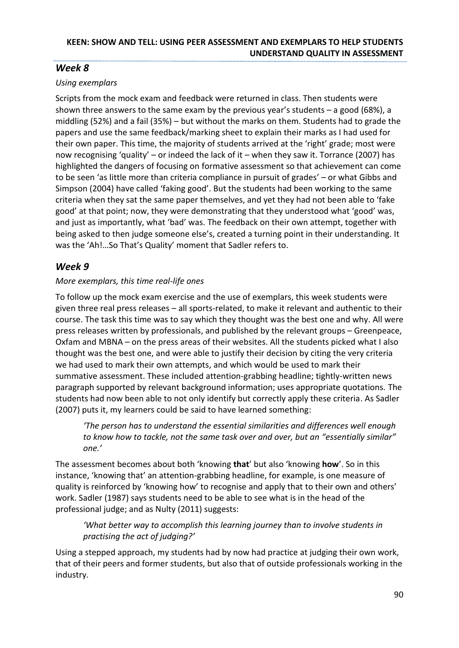# *Week 8*

# *Using exemplars*

Scripts from the mock exam and feedback were returned in class. Then students were shown three answers to the same exam by the previous year's students – a good (68%), a middling (52%) and a fail (35%) – but without the marks on them. Students had to grade the papers and use the same feedback/marking sheet to explain their marks as I had used for their own paper. This time, the majority of students arrived at the 'right' grade; most were now recognising 'quality' – or indeed the lack of it – when they saw it. Torrance (2007) has highlighted the dangers of focusing on formative assessment so that achievement can come to be seen 'as little more than criteria compliance in pursuit of grades' – or what Gibbs and Simpson (2004) have called 'faking good'. But the students had been working to the same criteria when they sat the same paper themselves, and yet they had not been able to 'fake good' at that point; now, they were demonstrating that they understood what 'good' was, and just as importantly, what 'bad' was. The feedback on their own attempt, together with being asked to then judge someone else's, created a turning point in their understanding. It was the 'Ah!…So That's Quality' moment that Sadler refers to.

# *Week 9*

# *More exemplars, this time real-life ones*

To follow up the mock exam exercise and the use of exemplars, this week students were given three real press releases – all sports-related, to make it relevant and authentic to their course. The task this time was to say which they thought was the best one and why. All were press releases written by professionals, and published by the relevant groups – Greenpeace, Oxfam and MBNA – on the press areas of their websites. All the students picked what I also thought was the best one, and were able to justify their decision by citing the very criteria we had used to mark their own attempts, and which would be used to mark their summative assessment. These included attention-grabbing headline; tightly-written news paragraph supported by relevant background information; uses appropriate quotations. The students had now been able to not only identify but correctly apply these criteria. As Sadler (2007) puts it, my learners could be said to have learned something:

*'The person has to understand the essential similarities and differences well enough to know how to tackle, not the same task over and over, but an "essentially similar" one.'* 

The assessment becomes about both 'knowing **that**' but also 'knowing **how**'. So in this instance, 'knowing that' an attention-grabbing headline, for example, is one measure of quality is reinforced by 'knowing how' to recognise and apply that to their own and others' work. Sadler (1987) says students need to be able to see what is in the head of the professional judge; and as Nulty (2011) suggests:

*'What better way to accomplish this learning journey than to involve students in practising the act of judging?'* 

Using a stepped approach, my students had by now had practice at judging their own work, that of their peers and former students, but also that of outside professionals working in the industry.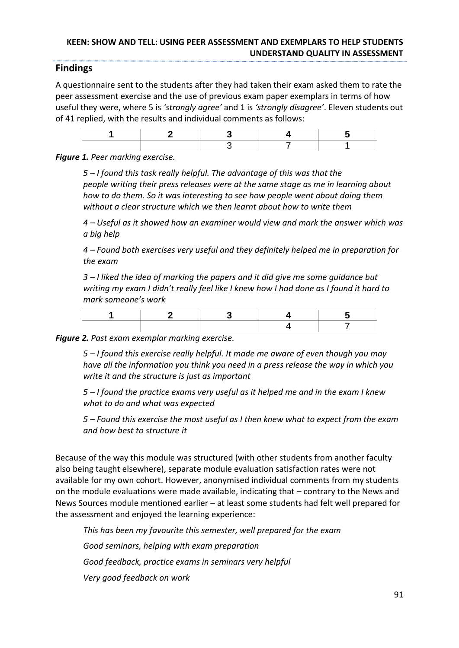### **Findings**

A questionnaire sent to the students after they had taken their exam asked them to rate the peer assessment exercise and the use of previous exam paper exemplars in terms of how useful they were, where 5 is *'strongly agree'* and 1 is *'strongly disagree'*. Eleven students out of 41 replied, with the results and individual comments as follows:

#### *Figure 1. Peer marking exercise.*

*5 – I found this task really helpful. The advantage of this was that the people writing their press releases were at the same stage as me in learning about how to do them. So it was interesting to see how people went about doing them without a clear structure which we then learnt about how to write them*

*4 – Useful as it showed how an examiner would view and mark the answer which was a big help*

*4 – Found both exercises very useful and they definitely helped me in preparation for the exam*

*3 – I liked the idea of marking the papers and it did give me some guidance but writing my exam I didn't really feel like I knew how I had done as I found it hard to mark someone's work*

*Figure 2. Past exam exemplar marking exercise.*

*5 – I found this exercise really helpful. It made me aware of even though you may have all the information you think you need in a press release the way in which you write it and the structure is just as important*

*5 – I found the practice exams very useful as it helped me and in the exam I knew what to do and what was expected*

*5 – Found this exercise the most useful as I then knew what to expect from the exam and how best to structure it*

Because of the way this module was structured (with other students from another faculty also being taught elsewhere), separate module evaluation satisfaction rates were not available for my own cohort. However, anonymised individual comments from my students on the module evaluations were made available, indicating that – contrary to the News and News Sources module mentioned earlier – at least some students had felt well prepared for the assessment and enjoyed the learning experience:

*This has been my favourite this semester, well prepared for the exam Good seminars, helping with exam preparation Good feedback, practice exams in seminars very helpful Very good feedback on work*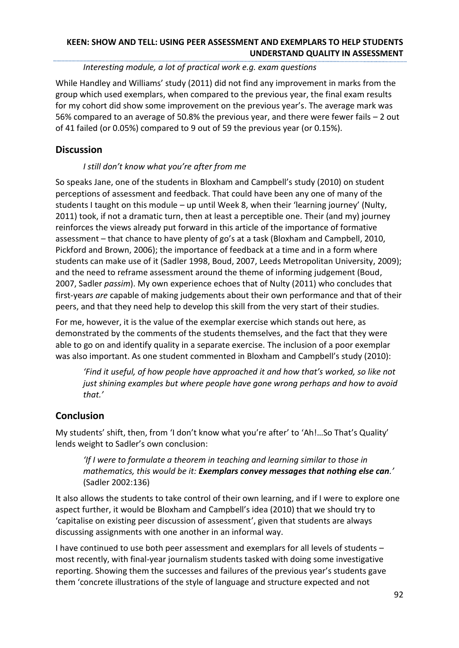*Interesting module, a lot of practical work e.g. exam questions*

While Handley and Williams' study (2011) did not find any improvement in marks from the group which used exemplars, when compared to the previous year, the final exam results for my cohort did show some improvement on the previous year's. The average mark was 56% compared to an average of 50.8% the previous year, and there were fewer fails – 2 out of 41 failed (or 0.05%) compared to 9 out of 59 the previous year (or 0.15%).

### **Discussion**

*I still don't know what you're after from me*

So speaks Jane, one of the students in Bloxham and Campbell's study (2010) on student perceptions of assessment and feedback. That could have been any one of many of the students I taught on this module – up until Week 8, when their 'learning journey' (Nulty, 2011) took, if not a dramatic turn, then at least a perceptible one. Their (and my) journey reinforces the views already put forward in this article of the importance of formative assessment – that chance to have plenty of go's at a task (Bloxham and Campbell, 2010, Pickford and Brown, 2006); the importance of feedback at a time and in a form where students can make use of it (Sadler 1998, Boud, 2007, Leeds Metropolitan University, 2009); and the need to reframe assessment around the theme of informing judgement (Boud, 2007, Sadler *passim*). My own experience echoes that of Nulty (2011) who concludes that first-years *are* capable of making judgements about their own performance and that of their peers, and that they need help to develop this skill from the very start of their studies.

For me, however, it is the value of the exemplar exercise which stands out here, as demonstrated by the comments of the students themselves, and the fact that they were able to go on and identify quality in a separate exercise. The inclusion of a poor exemplar was also important. As one student commented in Bloxham and Campbell's study (2010):

*'Find it useful, of how people have approached it and how that's worked, so like not just shining examples but where people have gone wrong perhaps and how to avoid that.'*

# **Conclusion**

My students' shift, then, from 'I don't know what you're after' to 'Ah!…So That's Quality' lends weight to Sadler's own conclusion:

*'If I were to formulate a theorem in teaching and learning similar to those in mathematics, this would be it: Exemplars convey messages that nothing else can.'*  (Sadler 2002:136)

It also allows the students to take control of their own learning, and if I were to explore one aspect further, it would be Bloxham and Campbell's idea (2010) that we should try to 'capitalise on existing peer discussion of assessment', given that students are always discussing assignments with one another in an informal way.

I have continued to use both peer assessment and exemplars for all levels of students – most recently, with final-year journalism students tasked with doing some investigative reporting. Showing them the successes and failures of the previous year's students gave them 'concrete illustrations of the style of language and structure expected and not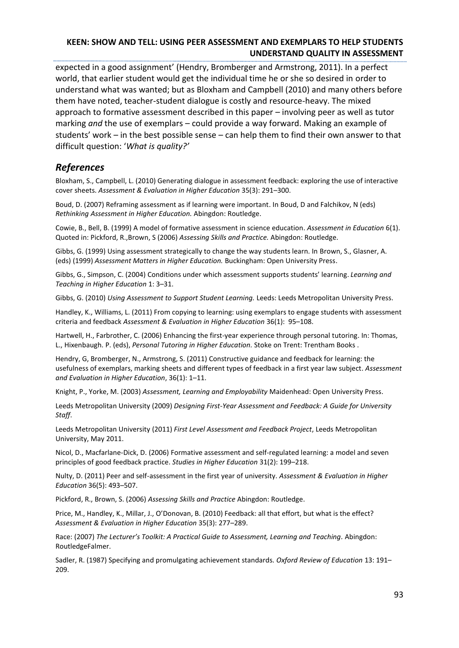expected in a good assignment' (Hendry, Bromberger and Armstrong, 2011). In a perfect world, that earlier student would get the individual time he or she so desired in order to understand what was wanted; but as Bloxham and Campbell (2010) and many others before them have noted, teacher-student dialogue is costly and resource-heavy. The mixed approach to formative assessment described in this paper – involving peer as well as tutor marking *and* the use of exemplars – could provide a way forward. Making an example of students' work – in the best possible sense – can help them to find their own answer to that difficult question: '*What is quality?'*

### *References*

Bloxham, S., Campbell, L. (2010) Generating dialogue in assessment feedback: exploring the use of interactive cover sheets. *Assessment & Evaluation in Higher Education* 35(3): 291–300.

Boud, D. (2007) Reframing assessment as if learning were important. In Boud, D and Falchikov, N (eds) *Rethinking Assessment in Higher Education.* Abingdon: Routledge.

Cowie, B., Bell, B. (1999) A model of formative assessment in science education. *Assessment in Education* 6(1). Quoted in: Pickford, R.,Brown, S (2006) *Assessing Skills and Practice.* Abingdon: Routledge.

Gibbs, G. (1999) Using assessment strategically to change the way students learn. In Brown, S., Glasner, A. (eds) (1999) *Assessment Matters in Higher Education.* Buckingham: Open University Press.

Gibbs, G., Simpson, C. (2004) Conditions under which assessment supports students' learning. *Learning and Teaching in Higher Education* 1: 3–31.

Gibbs, G. (2010) *Using Assessment to Support Student Learning.* Leeds: Leeds Metropolitan University Press.

Handley, K., Williams, L. (2011) From copying to learning: using exemplars to engage students with assessment criteria and feedback *Assessment & Evaluation in Higher Education* 36(1): 95–108.

Hartwell, H., Farbrother, C. (2006) Enhancing the first-year experience through personal tutoring. In: Thomas, L., Hixenbaugh. P. (eds), *Personal Tutoring in Higher Education.* Stoke on Trent: Trentham Books .

Hendry, G, Bromberger, N., Armstrong, S. (2011) Constructive guidance and feedback for learning: the usefulness of exemplars, marking sheets and different types of feedback in a first year law subject. *Assessment and Evaluation in Higher Education*, 36(1): 1–11.

Knight, P., Yorke, M. (2003) *Assessment, Learning and Employability* Maidenhead: Open University Press.

Leeds Metropolitan University (2009) *Designing First-Year Assessment and Feedback: A Guide for University Staff*.

Leeds Metropolitan University (2011) *First Level Assessment and Feedback Project*, Leeds Metropolitan University, May 2011.

Nicol, D., Macfarlane-Dick, D. (2006) Formative assessment and self-regulated learning: a model and seven principles of good feedback practice. *Studies in Higher Education* 31(2): 199–218.

Nulty, D. (2011) Peer and self-assessment in the first year of university. *Assessment & Evaluation in Higher Education* 36(5): 493–507.

Pickford, R., Brown, S. (2006) *Assessing Skills and Practice* Abingdon: Routledge.

Price, M., Handley, K., Millar, J., O'Donovan, B. (2010) Feedback: all that effort, but what is the effect? *Assessment & Evaluation in Higher Education* 35(3): 277–289.

Race: (2007) *The Lecturer's Toolkit: A Practical Guide to Assessment, Learning and Teaching.* Abingdon: RoutledgeFalmer.

Sadler, R. (1987) Specifying and promulgating achievement standards*. Oxford Review of Education* 13: 191– 209.